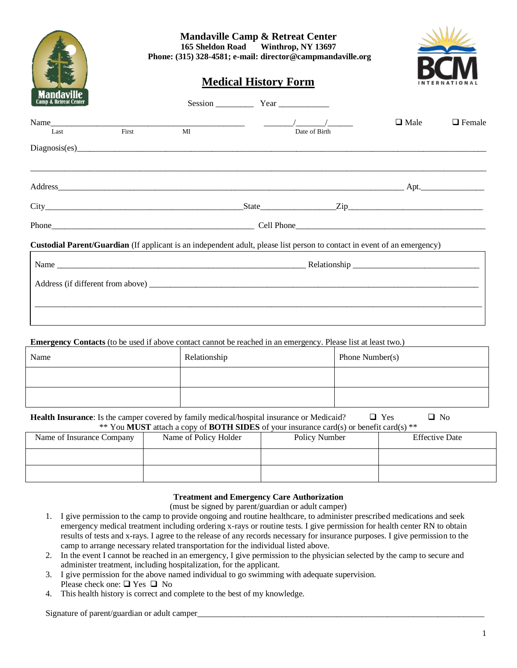|                                  |       | <b>Mandaville Camp &amp; Retreat Center</b><br>165 Sheldon Road Winthrop, NY 13697<br>Phone: (315) 328-4581; e-mail: director@campmandaville.org<br><b>Medical History Form</b> |              |               |             |               |  |
|----------------------------------|-------|---------------------------------------------------------------------------------------------------------------------------------------------------------------------------------|--------------|---------------|-------------|---------------|--|
|                                  |       |                                                                                                                                                                                 |              |               |             |               |  |
| Mandavi<br>Camp & Retreat Center |       |                                                                                                                                                                                 | Session Year |               |             |               |  |
| Last                             | First | MI                                                                                                                                                                              |              | Date of Birth | $\Box$ Male | $\Box$ Female |  |
|                                  |       |                                                                                                                                                                                 |              |               |             |               |  |
|                                  |       |                                                                                                                                                                                 |              |               |             |               |  |
|                                  |       | $City$ $Zip$ $Zip$                                                                                                                                                              |              |               |             |               |  |
|                                  |       |                                                                                                                                                                                 |              |               |             |               |  |
|                                  |       | Custodial Parent/Guardian (If applicant is an independent adult, please list person to contact in event of an emergency)                                                        |              |               |             |               |  |
|                                  |       |                                                                                                                                                                                 |              |               |             |               |  |
|                                  |       |                                                                                                                                                                                 |              |               |             |               |  |
|                                  |       |                                                                                                                                                                                 |              |               |             |               |  |

**Emergency Contacts** (to be used if above contact cannot be reached in an emergency. Please list at least two.)

| Name | Relationship | Phone Number(s) |
|------|--------------|-----------------|
|      |              |                 |
|      |              |                 |

| <b>Health Insurance:</b> Is the camper covered by family medical/hospital insurance or Medicaid? | $\Box$ Yes | $\Box$ No |  |  |  |
|--------------------------------------------------------------------------------------------------|------------|-----------|--|--|--|
| ** You MUST attach a copy of <b>BOTH SIDES</b> of your insurance card(s) or benefit card(s) **   |            |           |  |  |  |

| Name of Insurance Company | Name of Policy Holder | Policy Number | <b>Effective Date</b> |
|---------------------------|-----------------------|---------------|-----------------------|
|                           |                       |               |                       |
|                           |                       |               |                       |

## **Treatment and Emergency Care Authorization**

(must be signed by parent/guardian or adult camper)

- 1. I give permission to the camp to provide ongoing and routine healthcare, to administer prescribed medications and seek emergency medical treatment including ordering x-rays or routine tests. I give permission for health center RN to obtain results of tests and x-rays. I agree to the release of any records necessary for insurance purposes. I give permission to the camp to arrange necessary related transportation for the individual listed above.
- 2. In the event I cannot be reached in an emergency, I give permission to the physician selected by the camp to secure and administer treatment, including hospitalization, for the applicant.
- 3. I give permission for the above named individual to go swimming with adequate supervision. Please check one: ❑ Yes ❑ No
- 4. This health history is correct and complete to the best of my knowledge.

Signature of parent/guardian or adult camper\_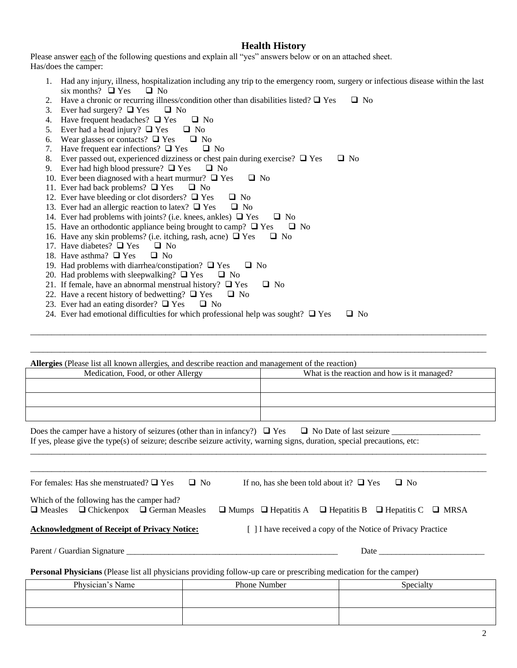## **Health History**

Please answer each of the following questions and explain all "yes" answers below or on an attached sheet. Has/does the camper:

- 1. Had any injury, illness, hospitalization including any trip to the emergency room, surgery or infectious disease within the last six months?  $\Box$  Yes  $\Box$  No
- 2. Have a chronic or recurring illness/condition other than disabilities listed?  $\Box$  Yes  $\Box$  No
- 3. Ever had surgery?  $\Box$  Yes  $\Box$  No
- 4. Have frequent headaches?  $\Box$  Yes  $\Box$  No
- 5. Ever had a head injury?  $\Box$  Yes  $\Box$  No
- 6. Wear glasses or contacts?  $\Box$  Yes  $\Box$  No
- 7. Have frequent ear infections?  $\Box$  Yes  $\Box$  No
- 8. Ever passed out, experienced dizziness or chest pain during exercise?  $\Box$  Yes  $\Box$  No
- 9. Ever had high blood pressure?  $\Box$  Yes  $\Box$  No
- 10. Ever been diagnosed with a heart murmur?  $\Box$  Yes  $\Box$  No
- 11. Ever had back problems? ❑ Yes ❑ No
- 12. Ever have bleeding or clot disorders?  $\Box$  Yes  $\Box$  No
- 13. Ever had an allergic reaction to latex?  $\Box$  Yes  $\Box$  No
- 14. Ever had problems with joints? (i.e. knees, ankles)  $\Box$  Yes  $\Box$  No
- 15. Have an orthodontic appliance being brought to camp?  $\Box$  Yes  $\Box$  No
- 16. Have any skin problems? (i.e. itching, rash, acne)  $\Box$  Yes  $\Box$  No
- 17. Have diabetes?  $\square$  Yes  $\square$  No
- 18. Have asthma?  $\Box$  Yes  $\Box$  No
- 19. Had problems with diarrhea/constipation?  $\Box$  Yes  $\Box$  No
- 20. Had problems with sleepwalking?  $\Box$  Yes  $\Box$  No
- 21. If female, have an abnormal menstrual history?  $\Box$  Yes  $\Box$  No
- 22. Have a recent history of bedwetting?  $\Box$  Yes  $\Box$  No
- 23. Ever had an eating disorder?  $\Box$  Yes  $\Box$  No
- 24. Ever had emotional difficulties for which professional help was sought?  $\Box$  Yes  $\Box$  No

**Allergies** (Please list all known allergies, and describe reaction and management of the reaction) Medication, Food, or other Allergy What is the reaction and how is it managed?

\_\_\_\_\_\_\_\_\_\_\_\_\_\_\_\_\_\_\_\_\_\_\_\_\_\_\_\_\_\_\_\_\_\_\_\_\_\_\_\_\_\_\_\_\_\_\_\_\_\_\_\_\_\_\_\_\_\_\_\_\_\_\_\_\_\_\_\_\_\_\_\_\_\_\_\_\_\_\_\_\_\_\_\_\_\_\_\_\_\_\_\_\_\_\_\_\_\_\_\_\_\_\_\_\_\_\_\_

\_\_\_\_\_\_\_\_\_\_\_\_\_\_\_\_\_\_\_\_\_\_\_\_\_\_\_\_\_\_\_\_\_\_\_\_\_\_\_\_\_\_\_\_\_\_\_\_\_\_\_\_\_\_\_\_\_\_\_\_\_\_\_\_\_\_\_\_\_\_\_\_\_\_\_\_\_\_\_\_\_\_\_\_\_\_\_\_\_\_\_\_\_\_\_\_\_\_\_\_\_\_\_\_\_\_\_\_

\_\_\_\_\_\_\_\_\_\_\_\_\_\_\_\_\_\_\_\_\_\_\_\_\_\_\_\_\_\_\_\_\_\_\_\_\_\_\_\_\_\_\_\_\_\_\_\_\_\_\_\_\_\_\_\_\_\_\_\_\_\_\_\_\_\_\_\_\_\_\_\_\_\_\_\_\_\_\_\_\_\_\_\_\_\_\_\_\_\_\_\_\_\_\_\_\_\_\_\_\_\_\_\_\_\_\_\_

\_\_\_\_\_\_\_\_\_\_\_\_\_\_\_\_\_\_\_\_\_\_\_\_\_\_\_\_\_\_\_\_\_\_\_\_\_\_\_\_\_\_\_\_\_\_\_\_\_\_\_\_\_\_\_\_\_\_\_\_\_\_\_\_\_\_\_\_\_\_\_\_\_\_\_\_\_\_\_\_\_\_\_\_\_\_\_\_\_\_\_\_\_\_\_\_\_\_\_\_\_\_\_\_\_\_\_\_

Does the camper have a history of seizures (other than in infancy?)  $\Box$  Yes  $\Box$  No Date of last seizure If yes, please give the type(s) of seizure; describe seizure activity, warning signs, duration, special precautions, etc:

| $\Box$ No<br>$\Box$ No<br>For females: Has she menstruated? $\Box$ Yes<br>If no, has she been told about it? $\Box$ Yes                                                                   |                     |           |  |  |  |
|-------------------------------------------------------------------------------------------------------------------------------------------------------------------------------------------|---------------------|-----------|--|--|--|
| Which of the following has the camper had?<br>$\Box$ Measles $\Box$ Chickenpox $\Box$ German Measles<br>$\Box$ Mumps $\Box$ Hepatitis A $\Box$ Hepatitis B $\Box$ Hepatitis C $\Box$ MRSA |                     |           |  |  |  |
| <b>Acknowledgment of Receipt of Privacy Notice:</b><br>[ 1] I have received a copy of the Notice of Privacy Practice                                                                      |                     |           |  |  |  |
|                                                                                                                                                                                           |                     |           |  |  |  |
| <b>Personal Physicians</b> (Please list all physicians providing follow-up care or prescribing medication for the camper)                                                                 |                     |           |  |  |  |
| Physician's Name                                                                                                                                                                          | <b>Phone Number</b> | Specialty |  |  |  |
|                                                                                                                                                                                           |                     |           |  |  |  |